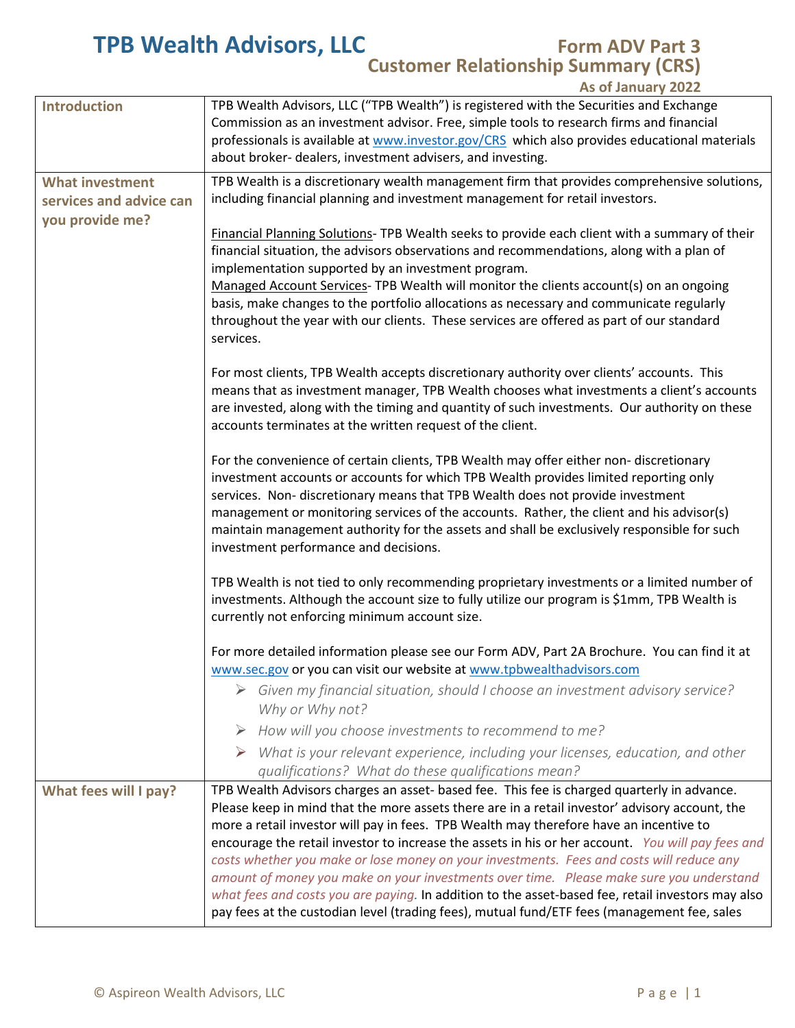## **TPB Wealth Advisors, LLC Form ADV Part 3**

## **Customer Relationship Summary (CRS)**

**As of January 2022**

| <b>Introduction</b>                                                  | TPB Wealth Advisors, LLC ("TPB Wealth") is registered with the Securities and Exchange<br>Commission as an investment advisor. Free, simple tools to research firms and financial<br>professionals is available at www.investor.gov/CRS which also provides educational materials<br>about broker- dealers, investment advisers, and investing.                                                                                                                                                                                                                                                                                                                                                                                                                                        |
|----------------------------------------------------------------------|----------------------------------------------------------------------------------------------------------------------------------------------------------------------------------------------------------------------------------------------------------------------------------------------------------------------------------------------------------------------------------------------------------------------------------------------------------------------------------------------------------------------------------------------------------------------------------------------------------------------------------------------------------------------------------------------------------------------------------------------------------------------------------------|
| <b>What investment</b><br>services and advice can<br>you provide me? | TPB Wealth is a discretionary wealth management firm that provides comprehensive solutions,<br>including financial planning and investment management for retail investors.                                                                                                                                                                                                                                                                                                                                                                                                                                                                                                                                                                                                            |
|                                                                      | Financial Planning Solutions- TPB Wealth seeks to provide each client with a summary of their<br>financial situation, the advisors observations and recommendations, along with a plan of<br>implementation supported by an investment program.<br>Managed Account Services- TPB Wealth will monitor the clients account(s) on an ongoing<br>basis, make changes to the portfolio allocations as necessary and communicate regularly<br>throughout the year with our clients. These services are offered as part of our standard<br>services.                                                                                                                                                                                                                                          |
|                                                                      | For most clients, TPB Wealth accepts discretionary authority over clients' accounts. This<br>means that as investment manager, TPB Wealth chooses what investments a client's accounts<br>are invested, along with the timing and quantity of such investments. Our authority on these<br>accounts terminates at the written request of the client.                                                                                                                                                                                                                                                                                                                                                                                                                                    |
|                                                                      | For the convenience of certain clients, TPB Wealth may offer either non- discretionary<br>investment accounts or accounts for which TPB Wealth provides limited reporting only<br>services. Non-discretionary means that TPB Wealth does not provide investment<br>management or monitoring services of the accounts. Rather, the client and his advisor(s)<br>maintain management authority for the assets and shall be exclusively responsible for such<br>investment performance and decisions.                                                                                                                                                                                                                                                                                     |
|                                                                      | TPB Wealth is not tied to only recommending proprietary investments or a limited number of<br>investments. Although the account size to fully utilize our program is \$1mm, TPB Wealth is<br>currently not enforcing minimum account size.                                                                                                                                                                                                                                                                                                                                                                                                                                                                                                                                             |
|                                                                      | For more detailed information please see our Form ADV, Part 2A Brochure. You can find it at                                                                                                                                                                                                                                                                                                                                                                                                                                                                                                                                                                                                                                                                                            |
|                                                                      | www.sec.gov or you can visit our website at www.tpbwealthadvisors.com<br>Given my financial situation, should I choose an investment advisory service?<br>Why or Why not?                                                                                                                                                                                                                                                                                                                                                                                                                                                                                                                                                                                                              |
|                                                                      | $\triangleright$ How will you choose investments to recommend to me?                                                                                                                                                                                                                                                                                                                                                                                                                                                                                                                                                                                                                                                                                                                   |
|                                                                      | What is your relevant experience, including your licenses, education, and other<br>➤<br>qualifications? What do these qualifications mean?                                                                                                                                                                                                                                                                                                                                                                                                                                                                                                                                                                                                                                             |
| What fees will I pay?                                                | TPB Wealth Advisors charges an asset- based fee. This fee is charged quarterly in advance.<br>Please keep in mind that the more assets there are in a retail investor' advisory account, the<br>more a retail investor will pay in fees. TPB Wealth may therefore have an incentive to<br>encourage the retail investor to increase the assets in his or her account. You will pay fees and<br>costs whether you make or lose money on your investments. Fees and costs will reduce any<br>amount of money you make on your investments over time. Please make sure you understand<br>what fees and costs you are paying. In addition to the asset-based fee, retail investors may also<br>pay fees at the custodian level (trading fees), mutual fund/ETF fees (management fee, sales |